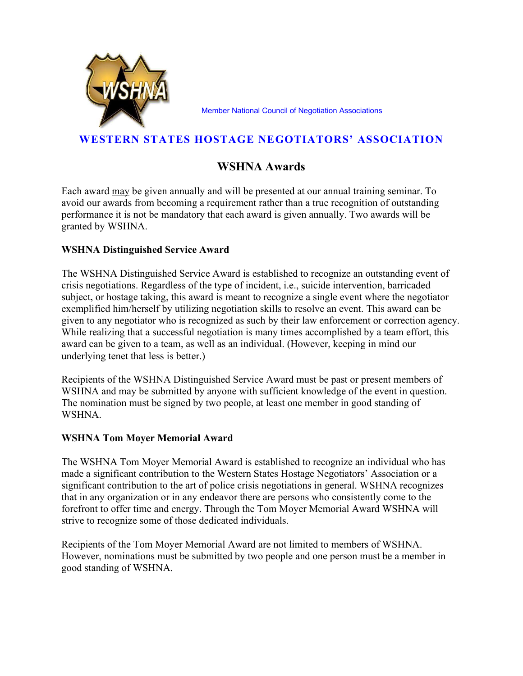

Member National Council of Negotiation Associations

## WESTERN STATES HOSTAGE NEGOTIATORS' ASSOCIATION

# WSHNA Awards

Each award may be given annually and will be presented at our annual training seminar. To avoid our awards from becoming a requirement rather than a true recognition of outstanding performance it is not be mandatory that each award is given annually. Two awards will be granted by WSHNA.

### WSHNA Distinguished Service Award

The WSHNA Distinguished Service Award is established to recognize an outstanding event of crisis negotiations. Regardless of the type of incident, i.e., suicide intervention, barricaded subject, or hostage taking, this award is meant to recognize a single event where the negotiator exemplified him/herself by utilizing negotiation skills to resolve an event. This award can be given to any negotiator who is recognized as such by their law enforcement or correction agency. While realizing that a successful negotiation is many times accomplished by a team effort, this award can be given to a team, as well as an individual. (However, keeping in mind our underlying tenet that less is better.)

Recipients of the WSHNA Distinguished Service Award must be past or present members of WSHNA and may be submitted by anyone with sufficient knowledge of the event in question. The nomination must be signed by two people, at least one member in good standing of WSHNA.

#### WSHNA Tom Moyer Memorial Award

The WSHNA Tom Moyer Memorial Award is established to recognize an individual who has made a significant contribution to the Western States Hostage Negotiators' Association or a significant contribution to the art of police crisis negotiations in general. WSHNA recognizes that in any organization or in any endeavor there are persons who consistently come to the forefront to offer time and energy. Through the Tom Moyer Memorial Award WSHNA will strive to recognize some of those dedicated individuals.

Recipients of the Tom Moyer Memorial Award are not limited to members of WSHNA. However, nominations must be submitted by two people and one person must be a member in good standing of WSHNA.